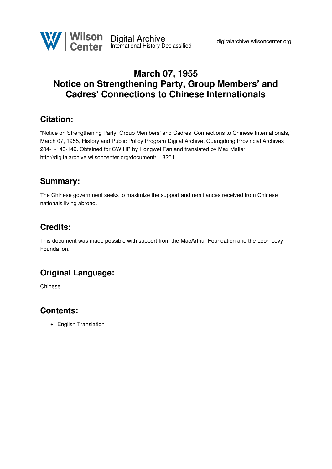

## **March 07, 1955 Notice on Strengthening Party, Group Members' and Cadres' Connections to Chinese Internationals**

### **Citation:**

"Notice on Strengthening Party, Group Members' and Cadres' Connections to Chinese Internationals," March 07, 1955, History and Public Policy Program Digital Archive, Guangdong Provincial Archives 204-1-140-149. Obtained for CWIHP by Hongwei Fan and translated by Max Maller. <http://digitalarchive.wilsoncenter.org/document/118251>

### **Summary:**

The Chinese government seeks to maximize the support and remittances received from Chinese nationals living abroad.

# **Credits:**

This document was made possible with support from the MacArthur Foundation and the Leon Levy Foundation.

## **Original Language:**

Chinese

### **Contents:**

• English Translation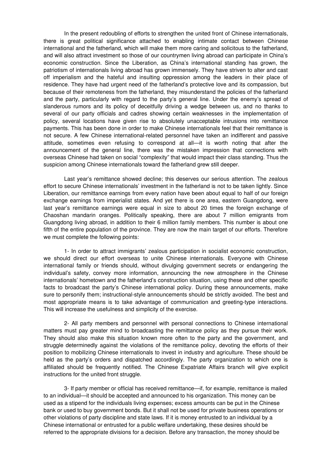In the present redoubling of efforts to strengthen the united front of Chinese internationals, there is great political significance attached to enabling intimate contact between Chinese international and the fatherland, which will make them more caring and solicitous to the fatherland, and will also attract investment so those of our countrymen living abroad can participate in China's economic construction. Since the Liberation, as China's international standing has grown, the patriotism of internationals living abroad has grown immensely. They have striven to alter and cast off imperialism and the hateful and insulting oppression among the leaders in their place of residence. They have had urgent need of the fatherland's protective love and its compassion, but because of their remoteness from the fatherland, they misunderstand the policies of the fatherland and the party, particularly with regard to the party's general line. Under the enemy's spread of slanderous rumors and its policy of deceitfully driving a wedge between us, and no thanks to several of our party officials and cadres showing certain weaknesses in the implementation of policy, several locations have given rise to absolutely unacceptable intrusions into remittance payments. This has been done in order to make Chinese internationals feel that their remittance is not secure. A few Chinese international-related personnel have taken an indifferent and passive attitude, sometimes even refusing to correspond at all—it is worth noting that after the announcement of the general line, there was the mistaken impression that connections with overseas Chinese had taken on social "complexity" that would impact their class standing. Thus the suspicion among Chinese internationals toward the fatherland grew still deeper.

Last year's remittance showed decline; this deserves our serious attention. The zealous effort to secure Chinese internationals' investment in the fatherland is not to be taken lightly. Since Liberation, our remittance earnings from every nation have been about equal to half of our foreign exchange earnings from imperialist states. And yet there is one area, eastern Guangdong, were last year's remittance earnings were equal in size to about 20 times the foreign exchange of Chaoshan mandarin oranges. Politically speaking, there are about 7 million emigrants from Guangdong living abroad, in addition to their 6 million family members. This number is about one fifth of the entire population of the province. They are now the main target of our efforts. Therefore we must complete the following points:

1- In order to attract immigrants' zealous participation in socialist economic construction, we should direct our effort overseas to unite Chinese internationals. Everyone with Chinese international family or friends should, without divulging government secrets or endangering the individual's safety, convey more information, announcing the new atmosphere in the Chinese internationals' hometown and the fatherland's construction situation, using these and other specific facts to broadcast the party's Chinese international policy. During these announcements, make sure to personify them; instructional-style announcements should be strictly avoided. The best and most appropriate means is to take advantage of communication and greeting-type interactions. This will increase the usefulness and simplicity of the exercise.

2- All party members and personnel with personal connections to Chinese international matters must pay greater mind to broadcasting the remittance policy as they pursue their work. They should also make this situation known more often to the party and the government, and struggle determinedly against the violations of the remittance policy, devoting the efforts of their position to mobilizing Chinese internationals to invest in industry and agriculture. These should be held as the party's orders and dispatched accordingly. The party organization to which one is affiliated should be frequently notified. The Chinese Expatriate Affairs branch will give explicit instructions for the united front struggle.

3- If party member or official has received remittance—if, for example, remittance is mailed to an individual—it should be accepted and announced to his organization. This money can be used as a stipend for the individuals living expenses; excess amounts can be put in the Chinese bank or used to buy government bonds. But it shall not be used for private business operations or other violations of party discipline and state laws. If it is money entrusted to an individual by a Chinese international or entrusted for a public welfare undertaking, these desires should be referred to the appropriate divisions for a decision. Before any transaction, the money should be